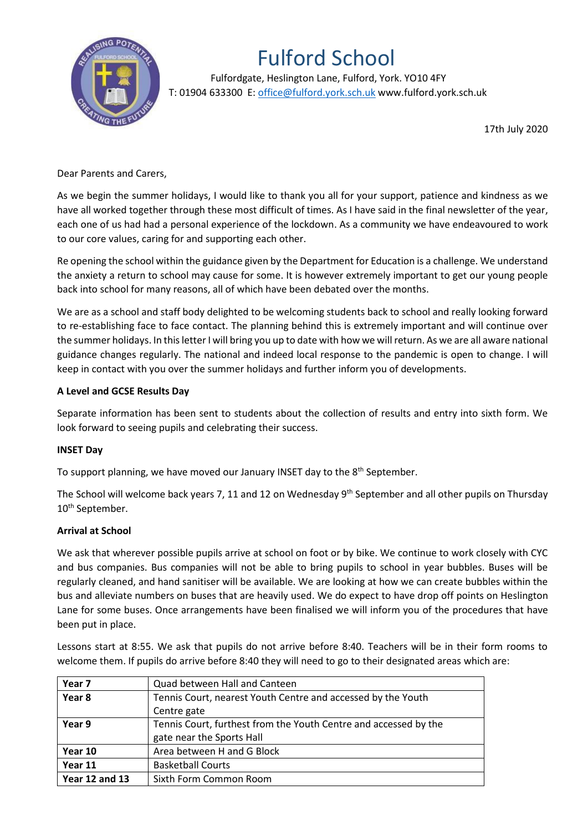

# Fulford School

 Fulfordgate, Heslington Lane, Fulford, York. YO10 4FY T: 01904 633300 E: office@fulford.york.sch.uk www.fulford.york.sch.uk

17th July 2020

# Dear Parents and Carers,

As we begin the summer holidays, I would like to thank you all for your support, patience and kindness as we have all worked together through these most difficult of times. As I have said in the final newsletter of the year, each one of us had had a personal experience of the lockdown. As a community we have endeavoured to work to our core values, caring for and supporting each other.

Re opening the school within the guidance given by the Department for Education is a challenge. We understand the anxiety a return to school may cause for some. It is however extremely important to get our young people back into school for many reasons, all of which have been debated over the months.

We are as a school and staff body delighted to be welcoming students back to school and really looking forward to re-establishing face to face contact. The planning behind this is extremely important and will continue over the summer holidays. In this letter I will bring you up to date with how we will return. As we are all aware national guidance changes regularly. The national and indeed local response to the pandemic is open to change. I will keep in contact with you over the summer holidays and further inform you of developments.

## **A Level and GCSE Results Day**

Separate information has been sent to students about the collection of results and entry into sixth form. We look forward to seeing pupils and celebrating their success.

# **INSET Day**

To support planning, we have moved our January INSET day to the 8<sup>th</sup> September.

The School will welcome back years 7, 11 and 12 on Wednesday 9<sup>th</sup> September and all other pupils on Thursday 10<sup>th</sup> September.

#### **Arrival at School**

We ask that wherever possible pupils arrive at school on foot or by bike. We continue to work closely with CYC and bus companies. Bus companies will not be able to bring pupils to school in year bubbles. Buses will be regularly cleaned, and hand sanitiser will be available. We are looking at how we can create bubbles within the bus and alleviate numbers on buses that are heavily used. We do expect to have drop off points on Heslington Lane for some buses. Once arrangements have been finalised we will inform you of the procedures that have been put in place.

Lessons start at 8:55. We ask that pupils do not arrive before 8:40. Teachers will be in their form rooms to welcome them. If pupils do arrive before 8:40 they will need to go to their designated areas which are:

| Year 7                | Quad between Hall and Canteen                                    |  |
|-----------------------|------------------------------------------------------------------|--|
| Year 8                | Tennis Court, nearest Youth Centre and accessed by the Youth     |  |
|                       | Centre gate                                                      |  |
| Year 9                | Tennis Court, furthest from the Youth Centre and accessed by the |  |
|                       | gate near the Sports Hall                                        |  |
| Year 10               | Area between H and G Block                                       |  |
| Year 11               | <b>Basketball Courts</b>                                         |  |
| <b>Year 12 and 13</b> | Sixth Form Common Room                                           |  |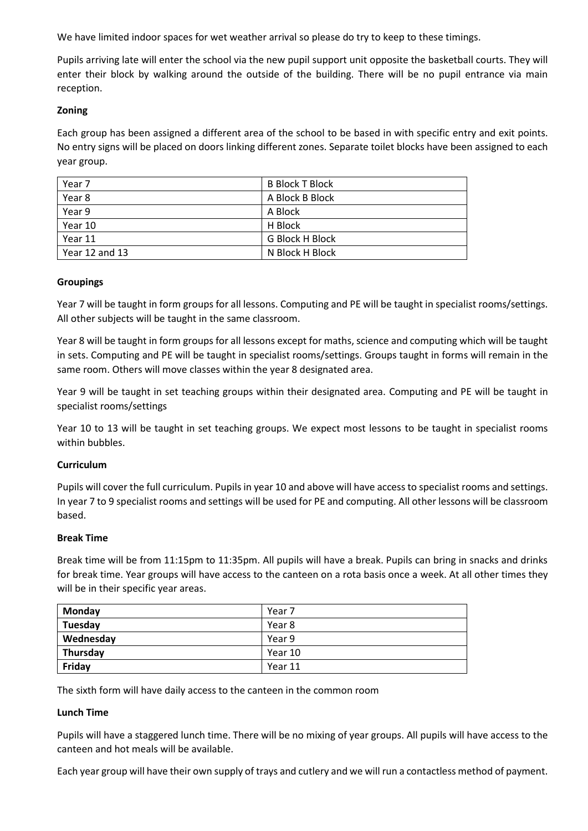We have limited indoor spaces for wet weather arrival so please do try to keep to these timings.

Pupils arriving late will enter the school via the new pupil support unit opposite the basketball courts. They will enter their block by walking around the outside of the building. There will be no pupil entrance via main reception.

## **Zoning**

Each group has been assigned a different area of the school to be based in with specific entry and exit points. No entry signs will be placed on doors linking different zones. Separate toilet blocks have been assigned to each year group.

| Year 7         | <b>B Block T Block</b> |
|----------------|------------------------|
| Year 8         | A Block B Block        |
| Year 9         | A Block                |
| Year 10        | H Block                |
| Year 11        | <b>G Block H Block</b> |
| Year 12 and 13 | N Block H Block        |

## **Groupings**

Year 7 will be taught in form groups for all lessons. Computing and PE will be taught in specialist rooms/settings. All other subjects will be taught in the same classroom.

Year 8 will be taught in form groups for all lessons except for maths, science and computing which will be taught in sets. Computing and PE will be taught in specialist rooms/settings. Groups taught in forms will remain in the same room. Others will move classes within the year 8 designated area.

Year 9 will be taught in set teaching groups within their designated area. Computing and PE will be taught in specialist rooms/settings

Year 10 to 13 will be taught in set teaching groups. We expect most lessons to be taught in specialist rooms within bubbles.

#### **Curriculum**

Pupils will cover the full curriculum. Pupils in year 10 and above will have access to specialist rooms and settings. In year 7 to 9 specialist rooms and settings will be used for PE and computing. All other lessons will be classroom based.

#### **Break Time**

Break time will be from 11:15pm to 11:35pm. All pupils will have a break. Pupils can bring in snacks and drinks for break time. Year groups will have access to the canteen on a rota basis once a week. At all other times they will be in their specific year areas.

| Monday    | Year 7  |
|-----------|---------|
| Tuesday   | Year 8  |
| Wednesday | Year 9  |
| Thursday  | Year 10 |
| Friday    | Year 11 |

The sixth form will have daily access to the canteen in the common room

#### **Lunch Time**

Pupils will have a staggered lunch time. There will be no mixing of year groups. All pupils will have access to the canteen and hot meals will be available.

Each year group will have their own supply of trays and cutlery and we will run a contactless method of payment.